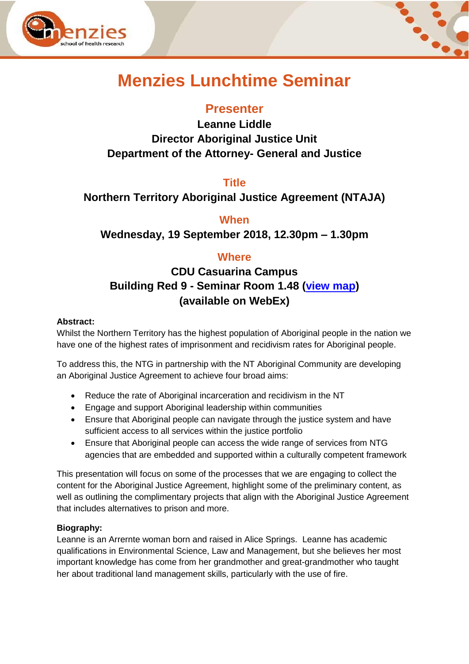



# **Menzies Lunchtime Seminar**

## **Presenter**

**Leanne Liddle Director Aboriginal Justice Unit Department of the Attorney- General and Justice**

#### **Title**

## **Northern Territory Aboriginal Justice Agreement (NTAJA)**

### **When**

**Wednesday, 19 September 2018, 12.30pm – 1.30pm**

## **Where**

# **CDU Casuarina Campus Building Red 9 - Seminar Room 1.48 [\(view map\)](https://www.google.com.au/maps/place/Menzies+School+of+Health+Research/@-12.3714504,130.8688344,17z/data=!4m5!3m4!1s0x0:0xdab2d8a57b6fde78!8m2!3d-12.3708357!4d130.869321) (available on WebEx)**

#### **Abstract:**

Whilst the Northern Territory has the highest population of Aboriginal people in the nation we have one of the highest rates of imprisonment and recidivism rates for Aboriginal people.

To address this, the NTG in partnership with the NT Aboriginal Community are developing an Aboriginal Justice Agreement to achieve four broad aims:

- Reduce the rate of Aboriginal incarceration and recidivism in the NT
- Engage and support Aboriginal leadership within communities
- Ensure that Aboriginal people can navigate through the justice system and have sufficient access to all services within the justice portfolio
- Ensure that Aboriginal people can access the wide range of services from NTG agencies that are embedded and supported within a culturally competent framework

This presentation will focus on some of the processes that we are engaging to collect the content for the Aboriginal Justice Agreement, highlight some of the preliminary content, as well as outlining the complimentary projects that align with the Aboriginal Justice Agreement that includes alternatives to prison and more.

#### **Biography:**

Leanne is an Arrernte woman born and raised in Alice Springs. Leanne has academic qualifications in Environmental Science, Law and Management, but she believes her most important knowledge has come from her grandmother and great-grandmother who taught her about traditional land management skills, particularly with the use of fire.